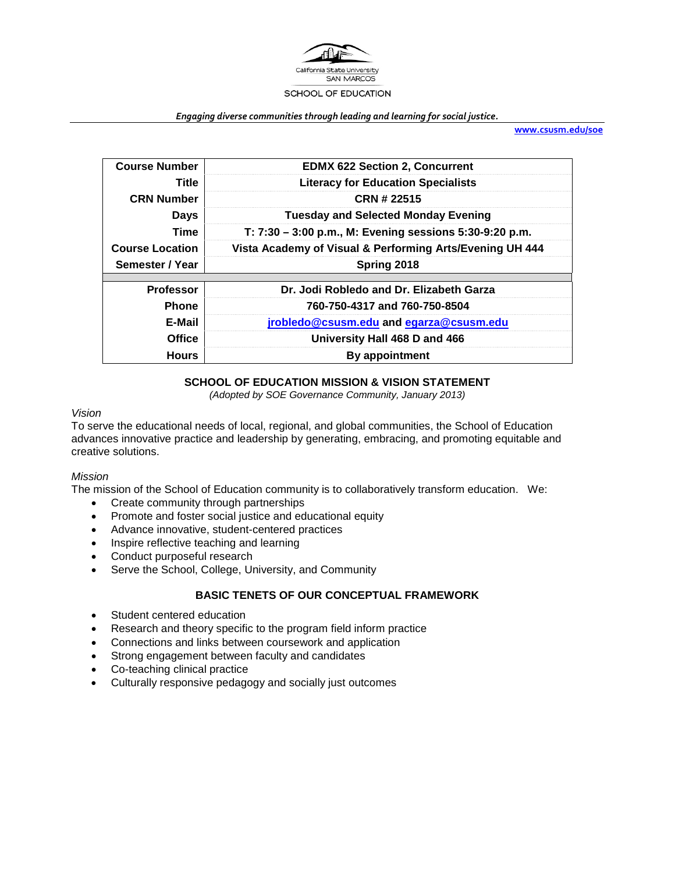

#### *Engaging diverse communities through leading and learning for social justice.*

**[www.csusm.edu/soe](http://www.csusm.edu/soe)**

| <b>Course Number</b>   | <b>EDMX 622 Section 2, Concurrent</b>                    |  |  |  |  |
|------------------------|----------------------------------------------------------|--|--|--|--|
| Title                  | <b>Literacy for Education Specialists</b>                |  |  |  |  |
| <b>CRN Number</b>      | CRN # 22515                                              |  |  |  |  |
| <b>Days</b>            | <b>Tuesday and Selected Monday Evening</b>               |  |  |  |  |
| <b>Time</b>            | T: 7:30 - 3:00 p.m., M: Evening sessions 5:30-9:20 p.m.  |  |  |  |  |
| <b>Course Location</b> | Vista Academy of Visual & Performing Arts/Evening UH 444 |  |  |  |  |
| Semester / Year        | Spring 2018                                              |  |  |  |  |
|                        |                                                          |  |  |  |  |
| <b>Professor</b>       | Dr. Jodi Robledo and Dr. Elizabeth Garza                 |  |  |  |  |
| Phone                  | 760-750-4317 and 760-750-8504                            |  |  |  |  |
| E-Mail                 | jrobledo@csusm.edu and egarza@csusm.edu                  |  |  |  |  |
| <b>Office</b>          | University Hall 468 D and 466                            |  |  |  |  |
| <b>Hours</b>           | By appointment                                           |  |  |  |  |

# **SCHOOL OF EDUCATION MISSION & VISION STATEMENT**

*(Adopted by SOE Governance Community, January 2013)*

# *Vision*

To serve the educational needs of local, regional, and global communities, the School of Education advances innovative practice and leadership by generating, embracing, and promoting equitable and creative solutions.

#### *Mission*

The mission of the School of Education community is to collaboratively transform education. We:

- Create community through partnerships
- Promote and foster social justice and educational equity
- Advance innovative, student-centered practices
- Inspire reflective teaching and learning
- Conduct purposeful research
- Serve the School, College, University, and Community

# **BASIC TENETS OF OUR CONCEPTUAL FRAMEWORK**

- Student centered education
- Research and theory specific to the program field inform practice
- Connections and links between coursework and application
- Strong engagement between faculty and candidates
- Co-teaching clinical practice
- Culturally responsive pedagogy and socially just outcomes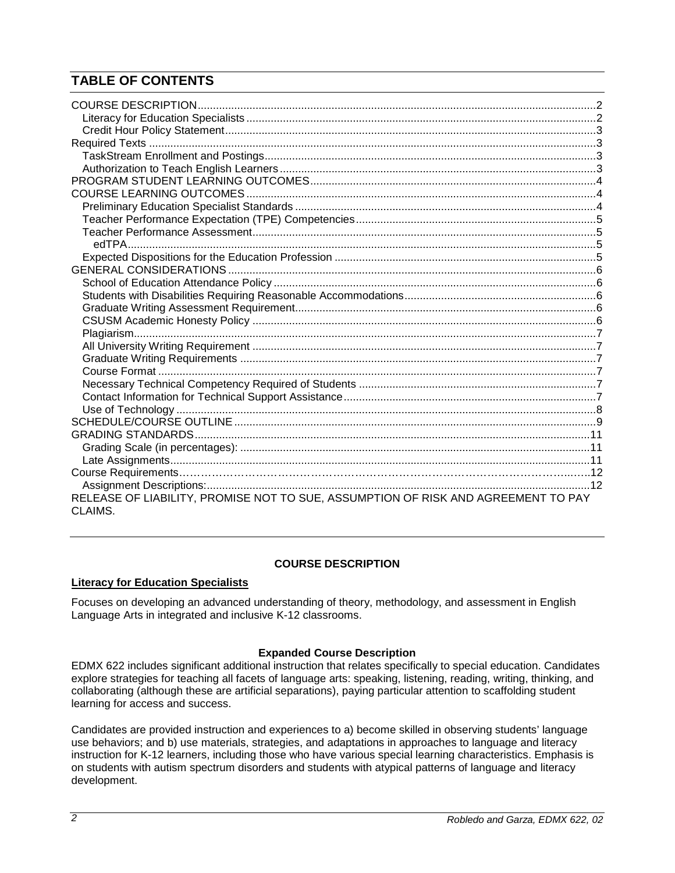# **TABLE OF CONTENTS**

| RELEASE OF LIABILITY, PROMISE NOT TO SUE, ASSUMPTION OF RISK AND AGREEMENT TO PAY<br>CLAIMS. |  |
|----------------------------------------------------------------------------------------------|--|

# **COURSE DESCRIPTION**

# <span id="page-1-1"></span><span id="page-1-0"></span>**Literacy for Education Specialists**

Focuses on developing an advanced understanding of theory, methodology, and assessment in English Language Arts in integrated and inclusive K-12 classrooms.

# **Expanded Course Description**

EDMX 622 includes significant additional instruction that relates specifically to special education. Candidates explore strategies for teaching all facets of language arts: speaking, listening, reading, writing, thinking, and collaborating (although these are artificial separations), paying particular attention to scaffolding student learning for access and success.

Candidates are provided instruction and experiences to a) become skilled in observing students' language use behaviors; and b) use materials, strategies, and adaptations in approaches to language and literacy instruction for K-12 learners, including those who have various special learning characteristics. Emphasis is on students with autism spectrum disorders and students with atypical patterns of language and literacy development.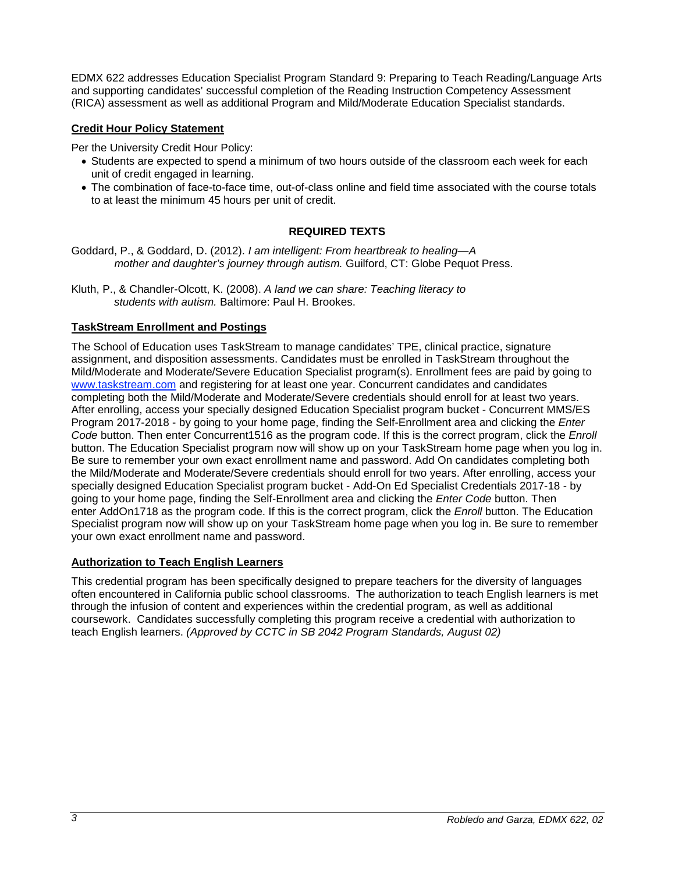EDMX 622 addresses Education Specialist Program Standard 9: Preparing to Teach Reading/Language Arts and supporting candidates' successful completion of the Reading Instruction Competency Assessment (RICA) assessment as well as additional Program and Mild/Moderate Education Specialist standards.

# <span id="page-2-0"></span>**Credit Hour Policy Statement**

Per the University Credit Hour Policy:

- Students are expected to spend a minimum of two hours outside of the classroom each week for each unit of credit engaged in learning.
- The combination of face-to-face time, out-of-class online and field time associated with the course totals to at least the minimum 45 hours per unit of credit.

### **REQUIRED TEXTS**

<span id="page-2-1"></span>Goddard, P., & Goddard, D. (2012). *I am intelligent: From heartbreak to healing—A mother and daughter's journey through autism.* Guilford, CT: Globe Pequot Press.

Kluth, P., & Chandler-Olcott, K. (2008). *A land we can share: Teaching literacy to students with autism.* Baltimore: Paul H. Brookes.

### <span id="page-2-2"></span>**TaskStream Enrollment and Postings**

The School of Education uses TaskStream to manage candidates' TPE, clinical practice, signature assignment, and disposition assessments. Candidates must be enrolled in TaskStream throughout the Mild/Moderate and Moderate/Severe Education Specialist program(s). Enrollment fees are paid by going to [www.taskstream.com](http://www.taskstrem.com/) and registering for at least one year. Concurrent candidates and candidates completing both the Mild/Moderate and Moderate/Severe credentials should enroll for at least two years. After enrolling, access your specially designed Education Specialist program bucket - Concurrent MMS/ES Program 2017-2018 - by going to your home page, finding the Self-Enrollment area and clicking the *Enter Code* button. Then enter Concurrent1516 as the program code. If this is the correct program, click the *Enroll*  button. The Education Specialist program now will show up on your TaskStream home page when you log in. Be sure to remember your own exact enrollment name and password. Add On candidates completing both the Mild/Moderate and Moderate/Severe credentials should enroll for two years. After enrolling, access your specially designed Education Specialist program bucket - Add-On Ed Specialist Credentials 2017-18 - by going to your home page, finding the Self-Enrollment area and clicking the *Enter Code* button. Then enter AddOn1718 as the program code. If this is the correct program, click the *Enroll* button. The Education Specialist program now will show up on your TaskStream home page when you log in. Be sure to remember your own exact enrollment name and password.

#### <span id="page-2-3"></span>**Authorization to Teach English Learners**

This credential program has been specifically designed to prepare teachers for the diversity of languages often encountered in California public school classrooms. The authorization to teach English learners is met through the infusion of content and experiences within the credential program, as well as additional coursework. Candidates successfully completing this program receive a credential with authorization to teach English learners. *(Approved by CCTC in SB 2042 Program Standards, August 02)*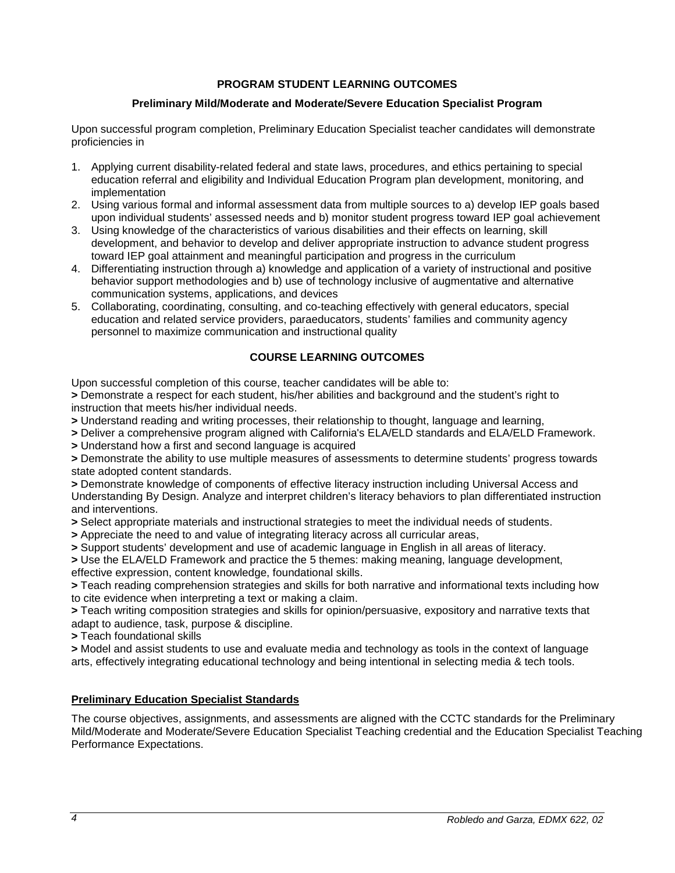# **PROGRAM STUDENT LEARNING OUTCOMES**

# **Preliminary Mild/Moderate and Moderate/Severe Education Specialist Program**

<span id="page-3-0"></span>Upon successful program completion, Preliminary Education Specialist teacher candidates will demonstrate proficiencies in

- 1. Applying current disability-related federal and state laws, procedures, and ethics pertaining to special education referral and eligibility and Individual Education Program plan development, monitoring, and implementation
- 2. Using various formal and informal assessment data from multiple sources to a) develop IEP goals based upon individual students' assessed needs and b) monitor student progress toward IEP goal achievement
- 3. Using knowledge of the characteristics of various disabilities and their effects on learning, skill development, and behavior to develop and deliver appropriate instruction to advance student progress toward IEP goal attainment and meaningful participation and progress in the curriculum
- 4. Differentiating instruction through a) knowledge and application of a variety of instructional and positive behavior support methodologies and b) use of technology inclusive of augmentative and alternative communication systems, applications, and devices
- 5. Collaborating, coordinating, consulting, and co-teaching effectively with general educators, special education and related service providers, paraeducators, students' families and community agency personnel to maximize communication and instructional quality

# **COURSE LEARNING OUTCOMES**

<span id="page-3-1"></span>Upon successful completion of this course, teacher candidates will be able to:

**>** Demonstrate a respect for each student, his/her abilities and background and the student's right to instruction that meets his/her individual needs.

**>** Understand reading and writing processes, their relationship to thought, language and learning,

**>** Deliver a comprehensive program aligned with California's ELA/ELD standards and ELA/ELD Framework.

**>** Understand how a first and second language is acquired

**>** Demonstrate the ability to use multiple measures of assessments to determine students' progress towards state adopted content standards.

**>** Demonstrate knowledge of components of effective literacy instruction including Universal Access and Understanding By Design. Analyze and interpret children's literacy behaviors to plan differentiated instruction and interventions.

**>** Select appropriate materials and instructional strategies to meet the individual needs of students.

- **>** Appreciate the need to and value of integrating literacy across all curricular areas,
- **>** Support students' development and use of academic language in English in all areas of literacy.

**>** Use the ELA/ELD Framework and practice the 5 themes: making meaning, language development, effective expression, content knowledge, foundational skills.

**>** Teach reading comprehension strategies and skills for both narrative and informational texts including how to cite evidence when interpreting a text or making a claim.

**>** Teach writing composition strategies and skills for opinion/persuasive, expository and narrative texts that adapt to audience, task, purpose & discipline.

**>** Teach foundational skills

**>** Model and assist students to use and evaluate media and technology as tools in the context of language arts, effectively integrating educational technology and being intentional in selecting media & tech tools.

# <span id="page-3-2"></span>**Preliminary Education Specialist Standards**

The course objectives, assignments, and assessments are aligned with the CCTC standards for the Preliminary Mild/Moderate and Moderate/Severe Education Specialist Teaching credential and the Education Specialist Teaching Performance Expectations.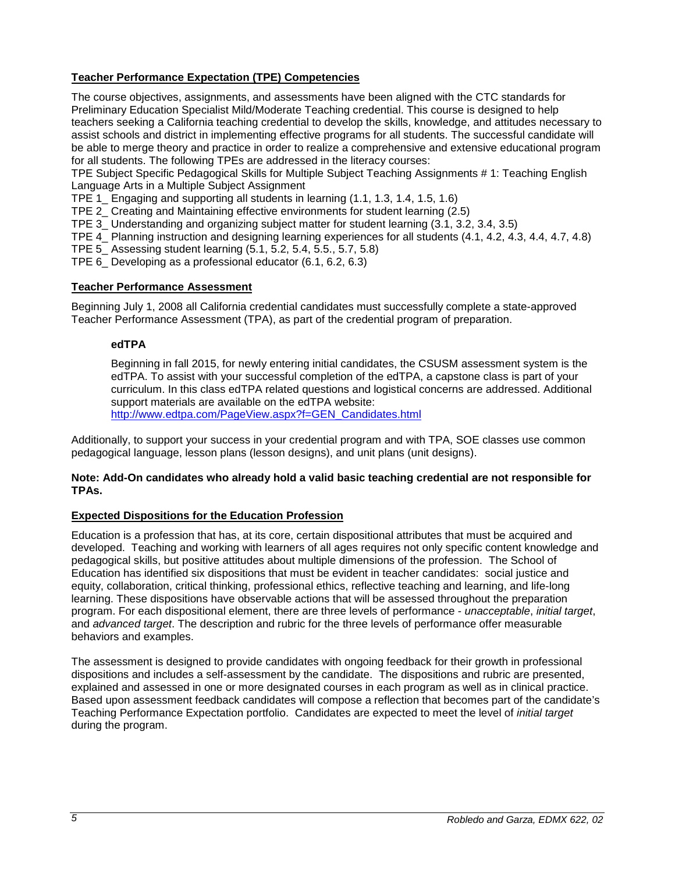# <span id="page-4-0"></span>**Teacher Performance Expectation (TPE) Competencies**

The course objectives, assignments, and assessments have been aligned with the CTC standards for Preliminary Education Specialist Mild/Moderate Teaching credential. This course is designed to help teachers seeking a California teaching credential to develop the skills, knowledge, and attitudes necessary to assist schools and district in implementing effective programs for all students. The successful candidate will be able to merge theory and practice in order to realize a comprehensive and extensive educational program for all students. The following TPEs are addressed in the literacy courses:

TPE Subject Specific Pedagogical Skills for Multiple Subject Teaching Assignments # 1: Teaching English Language Arts in a Multiple Subject Assignment

TPE 1\_ Engaging and supporting all students in learning (1.1, 1.3, 1.4, 1.5, 1.6)

TPE 2\_ Creating and Maintaining effective environments for student learning (2.5)

TPE 3\_ Understanding and organizing subject matter for student learning (3.1, 3.2, 3.4, 3.5)

TPE 4\_ Planning instruction and designing learning experiences for all students (4.1, 4.2, 4.3, 4.4, 4.7, 4.8)

TPE 5\_ Assessing student learning (5.1, 5.2, 5.4, 5.5., 5.7, 5.8)

TPE 6\_ Developing as a professional educator (6.1, 6.2, 6.3)

### <span id="page-4-1"></span>**Teacher Performance Assessment**

<span id="page-4-2"></span>Beginning July 1, 2008 all California credential candidates must successfully complete a state-approved Teacher Performance Assessment (TPA), as part of the credential program of preparation.

### **edTPA**

Beginning in fall 2015, for newly entering initial candidates, the CSUSM assessment system is the edTPA. To assist with your successful completion of the edTPA, a capstone class is part of your curriculum. In this class edTPA related questions and logistical concerns are addressed. Additional support materials are available on the edTPA website:

[http://www.edtpa.com/PageView.aspx?f=GEN\\_Candidates.html](http://www.edtpa.com/PageView.aspx?f=GEN_Candidates.html)

Additionally, to support your success in your credential program and with TPA, SOE classes use common pedagogical language, lesson plans (lesson designs), and unit plans (unit designs).

#### **Note: Add-On candidates who already hold a valid basic teaching credential are not responsible for TPAs.**

# <span id="page-4-3"></span>**Expected Dispositions for the Education Profession**

Education is a profession that has, at its core, certain dispositional attributes that must be acquired and developed. Teaching and working with learners of all ages requires not only specific content knowledge and pedagogical skills, but positive attitudes about multiple dimensions of the profession. The School of Education has identified six dispositions that must be evident in teacher candidates: social justice and equity, collaboration, critical thinking, professional ethics, reflective teaching and learning, and life-long learning. These dispositions have observable actions that will be assessed throughout the preparation program. For each dispositional element, there are three levels of performance - *unacceptable*, *initial target*, and *advanced target*. The description and rubric for the three levels of performance offer measurable behaviors and examples.

The assessment is designed to provide candidates with ongoing feedback for their growth in professional dispositions and includes a self-assessment by the candidate. The dispositions and rubric are presented, explained and assessed in one or more designated courses in each program as well as in clinical practice. Based upon assessment feedback candidates will compose a reflection that becomes part of the candidate's Teaching Performance Expectation portfolio. Candidates are expected to meet the level of *initial target* during the program.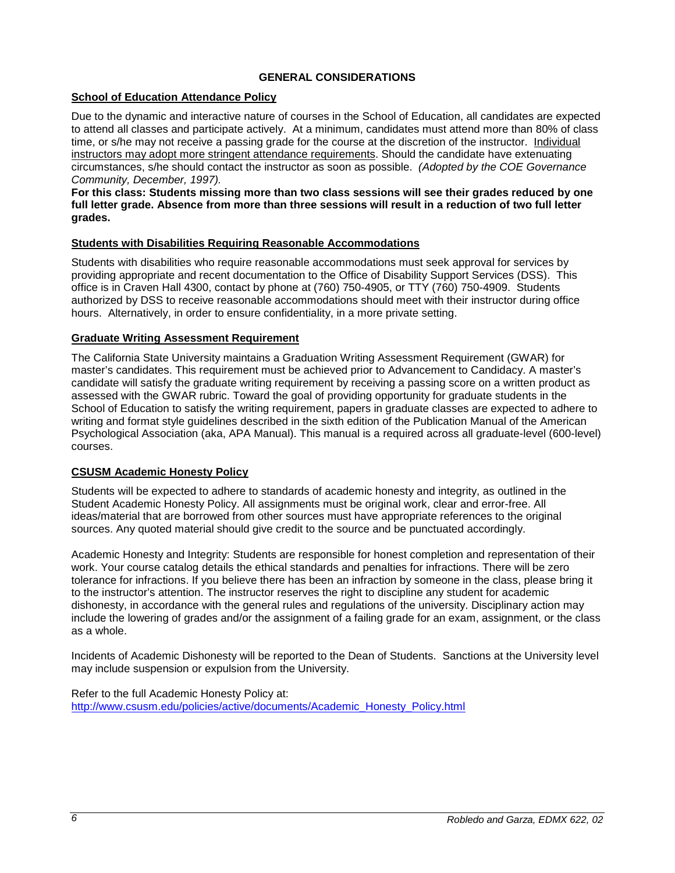# **GENERAL CONSIDERATIONS**

# <span id="page-5-1"></span><span id="page-5-0"></span>**School of Education Attendance Policy**

Due to the dynamic and interactive nature of courses in the School of Education, all candidates are expected to attend all classes and participate actively. At a minimum, candidates must attend more than 80% of class time, or s/he may not receive a passing grade for the course at the discretion of the instructor. Individual instructors may adopt more stringent attendance requirements. Should the candidate have extenuating circumstances, s/he should contact the instructor as soon as possible. *(Adopted by the COE Governance Community, December, 1997).*

**For this class: Students missing more than two class sessions will see their grades reduced by one full letter grade. Absence from more than three sessions will result in a reduction of two full letter grades.** 

# <span id="page-5-2"></span>**Students with Disabilities Requiring Reasonable Accommodations**

Students with disabilities who require reasonable accommodations must seek approval for services by providing appropriate and recent documentation to the Office of Disability Support Services (DSS). This office is in Craven Hall 4300, contact by phone at (760) 750-4905, or TTY (760) 750-4909. Students authorized by DSS to receive reasonable accommodations should meet with their instructor during office hours. Alternatively, in order to ensure confidentiality, in a more private setting.

### <span id="page-5-3"></span>**Graduate Writing Assessment Requirement**

The California State University maintains a Graduation Writing Assessment Requirement (GWAR) for master's candidates. This requirement must be achieved prior to Advancement to Candidacy. A master's candidate will satisfy the graduate writing requirement by receiving a passing score on a written product as assessed with the GWAR rubric. Toward the goal of providing opportunity for graduate students in the School of Education to satisfy the writing requirement, papers in graduate classes are expected to adhere to writing and format style guidelines described in the sixth edition of the Publication Manual of the American Psychological Association (aka, APA Manual). This manual is a required across all graduate-level (600-level) courses.

# <span id="page-5-4"></span>**CSUSM Academic Honesty Policy**

Students will be expected to adhere to standards of academic honesty and integrity, as outlined in the Student Academic Honesty Policy. All assignments must be original work, clear and error-free. All ideas/material that are borrowed from other sources must have appropriate references to the original sources. Any quoted material should give credit to the source and be punctuated accordingly.

Academic Honesty and Integrity: Students are responsible for honest completion and representation of their work. Your course catalog details the ethical standards and penalties for infractions. There will be zero tolerance for infractions. If you believe there has been an infraction by someone in the class, please bring it to the instructor's attention. The instructor reserves the right to discipline any student for academic dishonesty, in accordance with the general rules and regulations of the university. Disciplinary action may include the lowering of grades and/or the assignment of a failing grade for an exam, assignment, or the class as a whole.

Incidents of Academic Dishonesty will be reported to the Dean of Students. Sanctions at the University level may include suspension or expulsion from the University.

Refer to the full Academic Honesty Policy at: [http://www.csusm.edu/policies/active/documents/Academic\\_Honesty\\_Policy.html](http://www.csusm.edu/policies/active/documents/Academic_Honesty_Policy.html)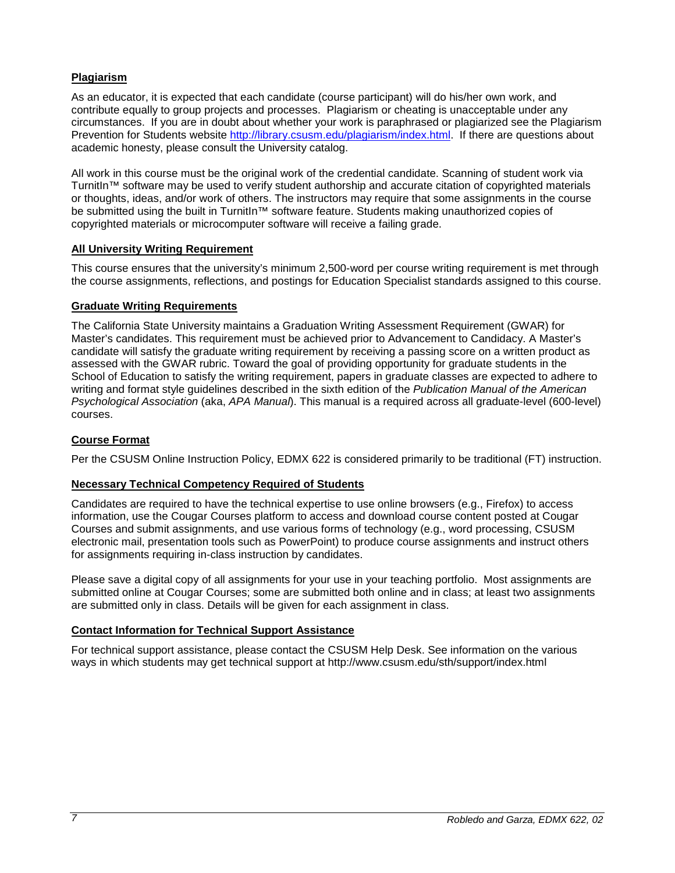# <span id="page-6-0"></span>**Plagiarism**

As an educator, it is expected that each candidate (course participant) will do his/her own work, and contribute equally to group projects and processes. Plagiarism or cheating is unacceptable under any circumstances. If you are in doubt about whether your work is paraphrased or plagiarized see the Plagiarism Prevention for Students website [http://library.csusm.edu/plagiarism/index.html.](http://library.csusm.edu/plagiarism/index.html) If there are questions about academic honesty, please consult the University catalog.

All work in this course must be the original work of the credential candidate. Scanning of student work via TurnitIn™ software may be used to verify student authorship and accurate citation of copyrighted materials or thoughts, ideas, and/or work of others. The instructors may require that some assignments in the course be submitted using the built in TurnitIn™ software feature. Students making unauthorized copies of copyrighted materials or microcomputer software will receive a failing grade.

# <span id="page-6-1"></span>**All University Writing Requirement**

This course ensures that the university's minimum 2,500-word per course writing requirement is met through the course assignments, reflections, and postings for Education Specialist standards assigned to this course.

# <span id="page-6-2"></span>**Graduate Writing Requirements**

The California State University maintains a Graduation Writing Assessment Requirement (GWAR) for Master's candidates. This requirement must be achieved prior to Advancement to Candidacy. A Master's candidate will satisfy the graduate writing requirement by receiving a passing score on a written product as assessed with the GWAR rubric. Toward the goal of providing opportunity for graduate students in the School of Education to satisfy the writing requirement, papers in graduate classes are expected to adhere to writing and format style guidelines described in the sixth edition of the *Publication Manual of the American Psychological Association* (aka, *APA Manual*). This manual is a required across all graduate-level (600-level) courses.

# <span id="page-6-3"></span>**Course Format**

Per the CSUSM Online Instruction Policy, EDMX 622 is considered primarily to be traditional (FT) instruction.

# <span id="page-6-4"></span>**Necessary Technical Competency Required of Students**

Candidates are required to have the technical expertise to use online browsers (e.g., Firefox) to access information, use the Cougar Courses platform to access and download course content posted at Cougar Courses and submit assignments, and use various forms of technology (e.g., word processing, CSUSM electronic mail, presentation tools such as PowerPoint) to produce course assignments and instruct others for assignments requiring in-class instruction by candidates.

Please save a digital copy of all assignments for your use in your teaching portfolio. Most assignments are submitted online at Cougar Courses; some are submitted both online and in class; at least two assignments are submitted only in class. Details will be given for each assignment in class.

# <span id="page-6-5"></span>**Contact Information for Technical Support Assistance**

For technical support assistance, please contact the CSUSM Help Desk. See information on the various ways in which students may get technical support at http://www.csusm.edu/sth/support/index.html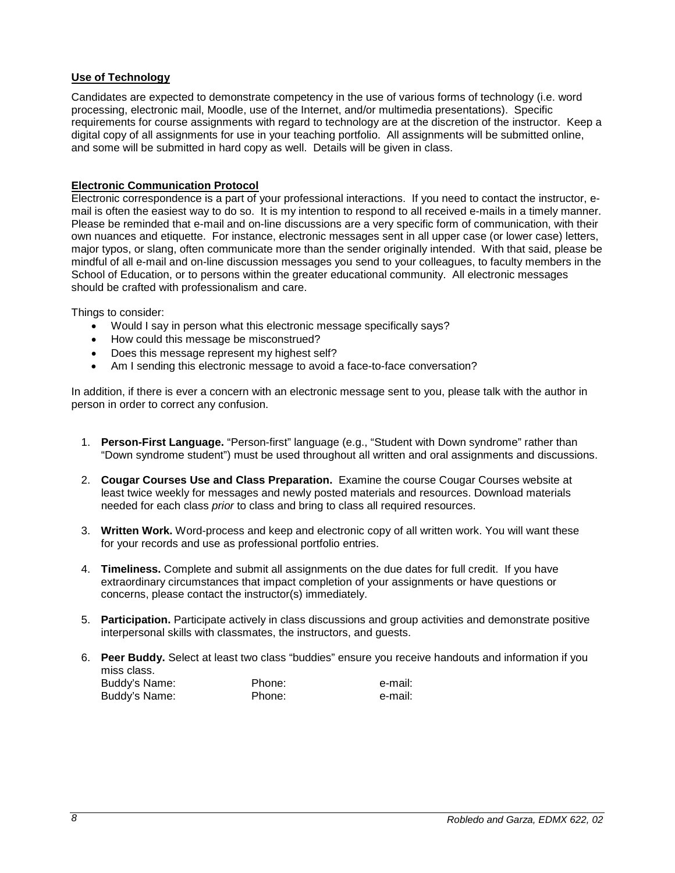# <span id="page-7-0"></span>**Use of Technology**

Candidates are expected to demonstrate competency in the use of various forms of technology (i.e. word processing, electronic mail, Moodle, use of the Internet, and/or multimedia presentations). Specific requirements for course assignments with regard to technology are at the discretion of the instructor. Keep a digital copy of all assignments for use in your teaching portfolio. All assignments will be submitted online, and some will be submitted in hard copy as well. Details will be given in class.

# **Electronic Communication Protocol**

Electronic correspondence is a part of your professional interactions. If you need to contact the instructor, email is often the easiest way to do so. It is my intention to respond to all received e-mails in a timely manner. Please be reminded that e-mail and on-line discussions are a very specific form of communication, with their own nuances and etiquette. For instance, electronic messages sent in all upper case (or lower case) letters, major typos, or slang, often communicate more than the sender originally intended. With that said, please be mindful of all e-mail and on-line discussion messages you send to your colleagues, to faculty members in the School of Education, or to persons within the greater educational community. All electronic messages should be crafted with professionalism and care.

Things to consider:

- Would I say in person what this electronic message specifically says?
- How could this message be misconstrued?
- Does this message represent my highest self?
- Am I sending this electronic message to avoid a face-to-face conversation?

In addition, if there is ever a concern with an electronic message sent to you, please talk with the author in person in order to correct any confusion.

- 1. **Person-First Language.** "Person-first" language (e.g., "Student with Down syndrome" rather than "Down syndrome student") must be used throughout all written and oral assignments and discussions.
- 2. **Cougar Courses Use and Class Preparation.** Examine the course Cougar Courses website at least twice weekly for messages and newly posted materials and resources. Download materials needed for each class *prior* to class and bring to class all required resources.
- 3. **Written Work.** Word-process and keep and electronic copy of all written work. You will want these for your records and use as professional portfolio entries.
- 4. **Timeliness.** Complete and submit all assignments on the due dates for full credit. If you have extraordinary circumstances that impact completion of your assignments or have questions or concerns, please contact the instructor(s) immediately.
- 5. **Participation.** Participate actively in class discussions and group activities and demonstrate positive interpersonal skills with classmates, the instructors, and guests.
- 6. **Peer Buddy.** Select at least two class "buddies" ensure you receive handouts and information if you miss class. Buddy's Name: Phone: Phone: e-mail:

Buddy's Name: Phone: e-mail: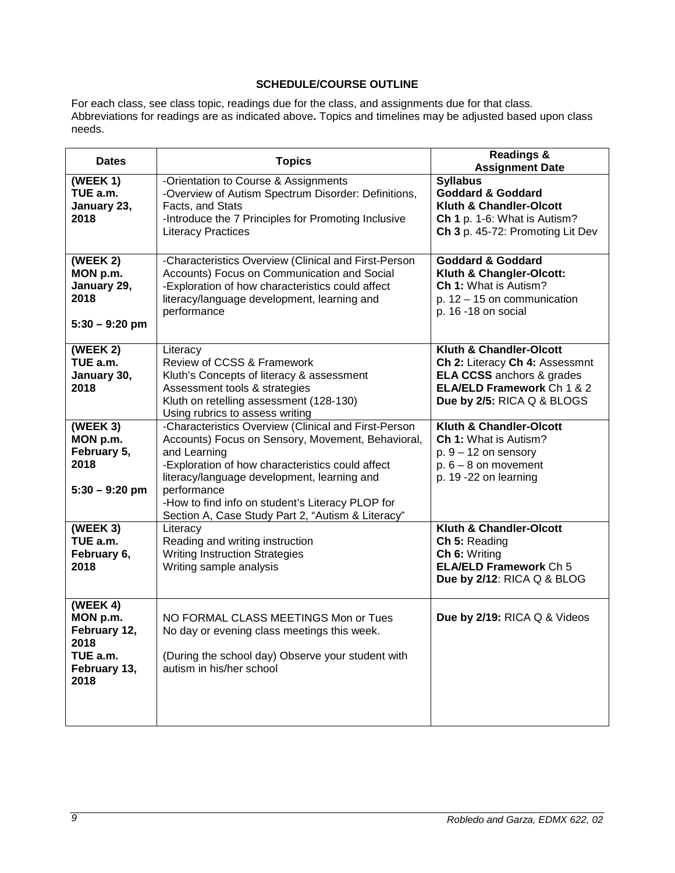# **SCHEDULE/COURSE OUTLINE**

<span id="page-8-0"></span>For each class, see class topic, readings due for the class, and assignments due for that class*.* Abbreviations for readings are as indicated above**.** Topics and timelines may be adjusted based upon class needs.

| <b>Dates</b><br><b>Topics</b>                                                    |                                                                                                                                                                                                                                                                                                                                                      | <b>Readings &amp;</b><br><b>Assignment Date</b>                                                                                                           |  |
|----------------------------------------------------------------------------------|------------------------------------------------------------------------------------------------------------------------------------------------------------------------------------------------------------------------------------------------------------------------------------------------------------------------------------------------------|-----------------------------------------------------------------------------------------------------------------------------------------------------------|--|
| (WEEK 1)<br>TUE a.m.<br>January 23,<br>2018                                      | -Orientation to Course & Assignments<br>-Overview of Autism Spectrum Disorder: Definitions,<br>Facts, and Stats<br>-Introduce the 7 Principles for Promoting Inclusive<br><b>Literacy Practices</b>                                                                                                                                                  | <b>Syllabus</b><br><b>Goddard &amp; Goddard</b><br><b>Kluth &amp; Chandler-Olcott</b><br>Ch 1 p. 1-6: What is Autism?<br>Ch 3 p. 45-72: Promoting Lit Dev |  |
| (WEEK 2)<br>MON p.m.<br>January 29,<br>2018<br>$5:30 - 9:20$ pm                  | -Characteristics Overview (Clinical and First-Person<br>Accounts) Focus on Communication and Social<br>-Exploration of how characteristics could affect<br>literacy/language development, learning and<br>performance                                                                                                                                | <b>Goddard &amp; Goddard</b><br>Kluth & Changler-Olcott:<br>Ch 1: What is Autism?<br>p. $12 - 15$ on communication<br>p. 16 -18 on social                 |  |
| (WEEK 2)<br>TUE a.m.<br>January 30,<br>2018                                      | Literacy<br>Review of CCSS & Framework<br>Kluth's Concepts of literacy & assessment<br>Assessment tools & strategies<br>Kluth on retelling assessment (128-130)<br>Using rubrics to assess writing                                                                                                                                                   | Kluth & Chandler-Olcott<br>Ch 2: Literacy Ch 4: Assessmnt<br><b>ELA CCSS</b> anchors & grades<br>ELA/ELD Framework Ch 1 & 2<br>Due by 2/5: RICA Q & BLOGS |  |
| (WEEK 3)<br>MON p.m.<br>February 5,<br>2018<br>$5:30 - 9:20$ pm                  | -Characteristics Overview (Clinical and First-Person<br>Accounts) Focus on Sensory, Movement, Behavioral,<br>and Learning<br>-Exploration of how characteristics could affect<br>literacy/language development, learning and<br>performance<br>-How to find info on student's Literacy PLOP for<br>Section A, Case Study Part 2, "Autism & Literacy" | Kluth & Chandler-Olcott<br><b>Ch 1: What is Autism?</b><br>$p. 9 - 12$ on sensory<br>$p. 6 - 8$ on movement<br>p. 19 -22 on learning                      |  |
| (WEEK 3)<br>TUE a.m.<br>February 6,<br>2018                                      | Literacy<br>Reading and writing instruction<br><b>Writing Instruction Strategies</b><br>Writing sample analysis                                                                                                                                                                                                                                      | Kluth & Chandler-Olcott<br>Ch 5: Reading<br>Ch 6: Writing<br><b>ELA/ELD Framework Ch 5</b><br>Due by 2/12: RICA Q & BLOG                                  |  |
| (WEEK 4)<br>MON p.m.<br>February 12,<br>2018<br>TUE a.m.<br>February 13,<br>2018 | NO FORMAL CLASS MEETINGS Mon or Tues<br>No day or evening class meetings this week.<br>(During the school day) Observe your student with<br>autism in his/her school                                                                                                                                                                                 | Due by 2/19: RICA Q & Videos                                                                                                                              |  |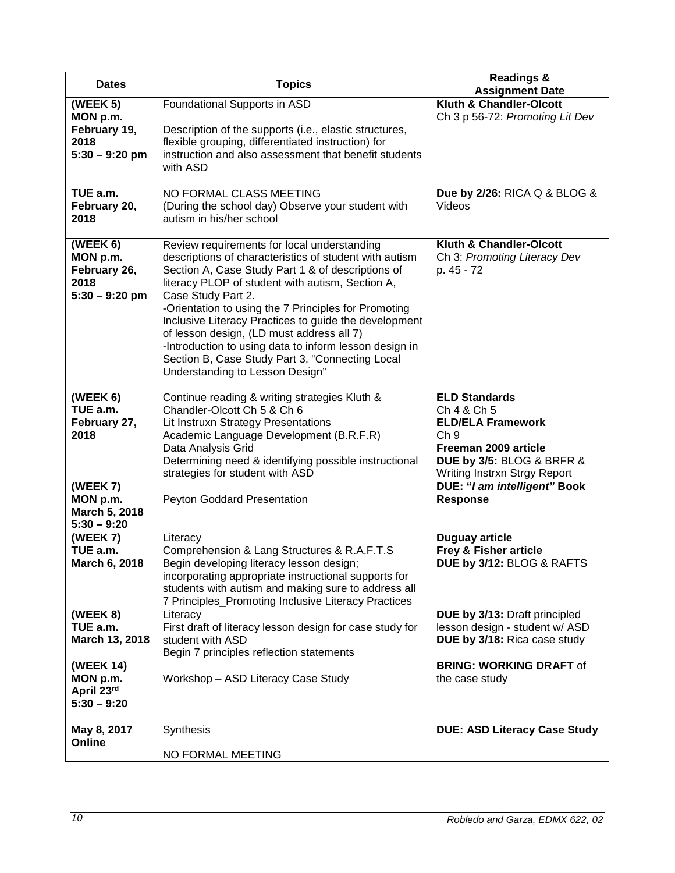| <b>Dates</b>                                                     | <b>Topics</b>                                                                                                                                                                                                                                                                                                                                                                                                                                                                                                                                      | <b>Readings &amp;</b><br><b>Assignment Date</b>                                                                                                                         |  |
|------------------------------------------------------------------|----------------------------------------------------------------------------------------------------------------------------------------------------------------------------------------------------------------------------------------------------------------------------------------------------------------------------------------------------------------------------------------------------------------------------------------------------------------------------------------------------------------------------------------------------|-------------------------------------------------------------------------------------------------------------------------------------------------------------------------|--|
| (WEEK 5)<br>MON p.m.<br>February 19,<br>2018<br>$5:30 - 9:20$ pm | Foundational Supports in ASD<br>Description of the supports (i.e., elastic structures,<br>flexible grouping, differentiated instruction) for<br>instruction and also assessment that benefit students<br>with ASD                                                                                                                                                                                                                                                                                                                                  | <b>Kluth &amp; Chandler-Olcott</b><br>Ch 3 p 56-72: Promoting Lit Dev                                                                                                   |  |
| TUE a.m.<br>February 20,<br>2018                                 | NO FORMAL CLASS MEETING<br>(During the school day) Observe your student with<br>autism in his/her school                                                                                                                                                                                                                                                                                                                                                                                                                                           | Due by 2/26: RICA Q & BLOG &<br>Videos                                                                                                                                  |  |
| (WEEK 6)<br>MON p.m.<br>February 26,<br>2018<br>$5:30 - 9:20$ pm | Review requirements for local understanding<br>descriptions of characteristics of student with autism<br>Section A, Case Study Part 1 & of descriptions of<br>literacy PLOP of student with autism, Section A,<br>Case Study Part 2.<br>-Orientation to using the 7 Principles for Promoting<br>Inclusive Literacy Practices to guide the development<br>of lesson design, (LD must address all 7)<br>-Introduction to using data to inform lesson design in<br>Section B, Case Study Part 3, "Connecting Local<br>Understanding to Lesson Design" | Kluth & Chandler-Olcott<br>Ch 3: Promoting Literacy Dev<br>p. 45 - 72                                                                                                   |  |
| (WEEK 6)<br>TUE a.m.<br>February 27,<br>2018                     | Continue reading & writing strategies Kluth &<br>Chandler-Olcott Ch 5 & Ch 6<br>Lit Instruxn Strategy Presentations<br>Academic Language Development (B.R.F.R)<br>Data Analysis Grid<br>Determining need & identifying possible instructional<br>strategies for student with ASD                                                                                                                                                                                                                                                                   | <b>ELD Standards</b><br>Ch 4 & Ch 5<br><b>ELD/ELA Framework</b><br>Ch <sub>9</sub><br>Freeman 2009 article<br>DUE by 3/5: BLOG & BRFR &<br>Writing Instrxn Strgy Report |  |
| (WEEK 7)<br>MON p.m.<br>March 5, 2018<br>$5:30 - 9:20$           | Peyton Goddard Presentation                                                                                                                                                                                                                                                                                                                                                                                                                                                                                                                        | DUE: "I am intelligent" Book<br><b>Response</b>                                                                                                                         |  |
| (WEEK 7)<br>TUE a.m.<br>March 6, 2018                            | Literacy<br>Comprehension & Lang Structures & R.A.F.T.S<br>Begin developing literacy lesson design;<br>incorporating appropriate instructional supports for<br>students with autism and making sure to address all<br>7 Principles_Promoting Inclusive Literacy Practices                                                                                                                                                                                                                                                                          | <b>Duguay article</b><br>Frey & Fisher article<br>DUE by 3/12: BLOG & RAFTS                                                                                             |  |
| (WEEK 8)<br>TUE a.m.<br>March 13, 2018                           | Literacy<br>First draft of literacy lesson design for case study for<br>student with ASD<br>Begin 7 principles reflection statements                                                                                                                                                                                                                                                                                                                                                                                                               | DUE by 3/13: Draft principled<br>lesson design - student w/ ASD<br>DUE by 3/18: Rica case study                                                                         |  |
| (WEEK 14)<br>MON p.m.<br>April 23rd<br>$5:30 - 9:20$             | Workshop - ASD Literacy Case Study                                                                                                                                                                                                                                                                                                                                                                                                                                                                                                                 | <b>BRING: WORKING DRAFT of</b><br>the case study                                                                                                                        |  |
| May 8, 2017<br>Online                                            | Synthesis<br>NO FORMAL MEETING                                                                                                                                                                                                                                                                                                                                                                                                                                                                                                                     | <b>DUE: ASD Literacy Case Study</b>                                                                                                                                     |  |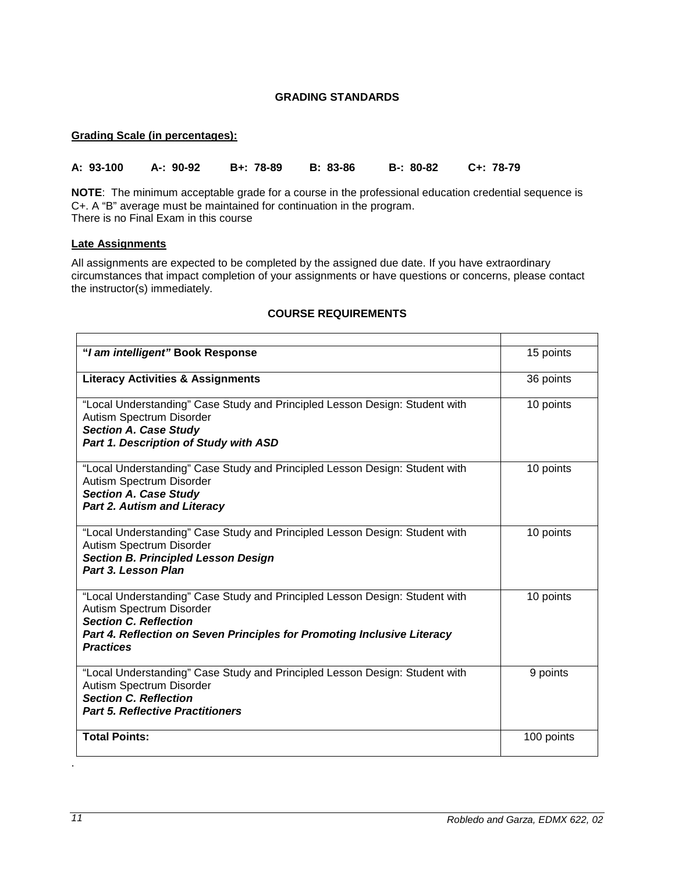# **GRADING STANDARDS**

### <span id="page-10-1"></span><span id="page-10-0"></span>**Grading Scale (in percentages):**

**A: 93-100 A-: 90-92 B+: 78-89 B: 83-86 B-: 80-82 C+: 78-79**

**NOTE**: The minimum acceptable grade for a course in the professional education credential sequence is C+. A "B" average must be maintained for continuation in the program. There is no Final Exam in this course

# <span id="page-10-2"></span>**Late Assignments**

All assignments are expected to be completed by the assigned due date. If you have extraordinary circumstances that impact completion of your assignments or have questions or concerns, please contact the instructor(s) immediately.

| "I am intelligent" Book Response                                                                                                                                                                                                       | 15 points  |
|----------------------------------------------------------------------------------------------------------------------------------------------------------------------------------------------------------------------------------------|------------|
| <b>Literacy Activities &amp; Assignments</b>                                                                                                                                                                                           | 36 points  |
| "Local Understanding" Case Study and Principled Lesson Design: Student with<br>Autism Spectrum Disorder<br><b>Section A. Case Study</b><br>Part 1. Description of Study with ASD                                                       | 10 points  |
| "Local Understanding" Case Study and Principled Lesson Design: Student with<br>Autism Spectrum Disorder<br><b>Section A. Case Study</b><br><b>Part 2. Autism and Literacy</b>                                                          | 10 points  |
| "Local Understanding" Case Study and Principled Lesson Design: Student with<br>Autism Spectrum Disorder<br><b>Section B. Principled Lesson Design</b><br>Part 3. Lesson Plan                                                           | 10 points  |
| "Local Understanding" Case Study and Principled Lesson Design: Student with<br>Autism Spectrum Disorder<br><b>Section C. Reflection</b><br>Part 4. Reflection on Seven Principles for Promoting Inclusive Literacy<br><b>Practices</b> | 10 points  |
| "Local Understanding" Case Study and Principled Lesson Design: Student with<br>Autism Spectrum Disorder<br><b>Section C. Reflection</b><br><b>Part 5. Reflective Practitioners</b>                                                     | 9 points   |
| <b>Total Points:</b>                                                                                                                                                                                                                   | 100 points |

### **COURSE REQUIREMENTS**

.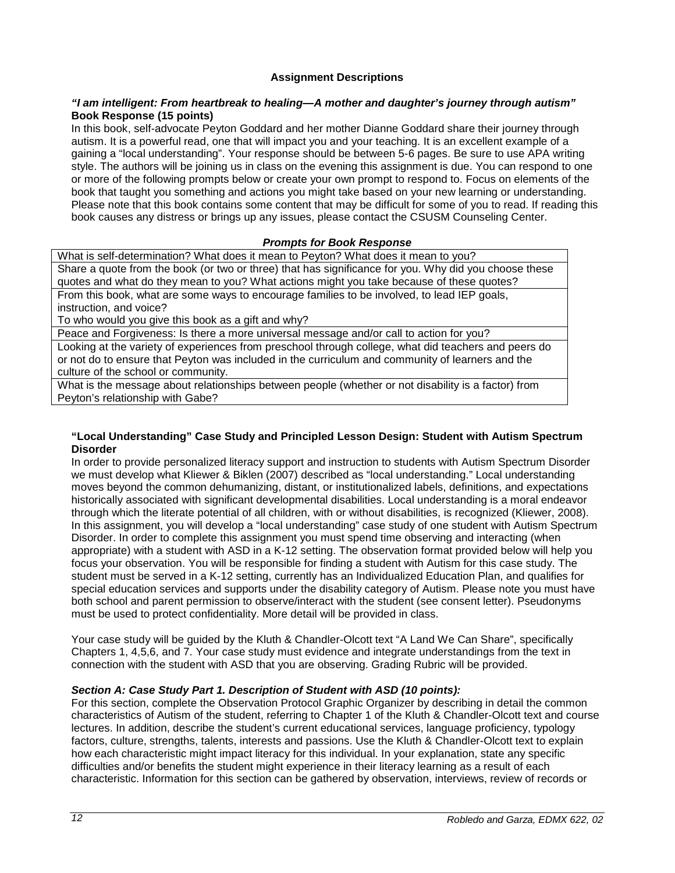# **Assignment Descriptions**

### *"I am intelligent: From heartbreak to healing—A mother and daughter's journey through autism"*  **Book Response (15 points)**

In this book, self-advocate Peyton Goddard and her mother Dianne Goddard share their journey through autism. It is a powerful read, one that will impact you and your teaching. It is an excellent example of a gaining a "local understanding". Your response should be between 5-6 pages. Be sure to use APA writing style. The authors will be joining us in class on the evening this assignment is due. You can respond to one or more of the following prompts below or create your own prompt to respond to. Focus on elements of the book that taught you something and actions you might take based on your new learning or understanding. Please note that this book contains some content that may be difficult for some of you to read. If reading this book causes any distress or brings up any issues, please contact the CSUSM Counseling Center.

### *Prompts for Book Response*

What is self-determination? What does it mean to Peyton? What does it mean to you? Share a quote from the book (or two or three) that has significance for you. Why did you choose these quotes and what do they mean to you? What actions might you take because of these quotes? From this book, what are some ways to encourage families to be involved, to lead IEP goals, instruction, and voice?

To who would you give this book as a gift and why?

Peace and Forgiveness: Is there a more universal message and/or call to action for you?

Looking at the variety of experiences from preschool through college, what did teachers and peers do or not do to ensure that Peyton was included in the curriculum and community of learners and the culture of the school or community.

What is the message about relationships between people (whether or not disability is a factor) from Peyton's relationship with Gabe?

### **"Local Understanding" Case Study and Principled Lesson Design: Student with Autism Spectrum Disorder**

In order to provide personalized literacy support and instruction to students with Autism Spectrum Disorder we must develop what Kliewer & Biklen (2007) described as "local understanding." Local understanding moves beyond the common dehumanizing, distant, or institutionalized labels, definitions, and expectations historically associated with significant developmental disabilities. Local understanding is a moral endeavor through which the literate potential of all children, with or without disabilities, is recognized (Kliewer, 2008). In this assignment, you will develop a "local understanding" case study of one student with Autism Spectrum Disorder. In order to complete this assignment you must spend time observing and interacting (when appropriate) with a student with ASD in a K-12 setting. The observation format provided below will help you focus your observation. You will be responsible for finding a student with Autism for this case study. The student must be served in a K-12 setting, currently has an Individualized Education Plan, and qualifies for special education services and supports under the disability category of Autism. Please note you must have both school and parent permission to observe/interact with the student (see consent letter). Pseudonyms must be used to protect confidentiality. More detail will be provided in class.

Your case study will be guided by the Kluth & Chandler-Olcott text "A Land We Can Share", specifically Chapters 1, 4,5,6, and 7. Your case study must evidence and integrate understandings from the text in connection with the student with ASD that you are observing. Grading Rubric will be provided.

# *Section A: Case Study Part 1. Description of Student with ASD (10 points):*

For this section, complete the Observation Protocol Graphic Organizer by describing in detail the common characteristics of Autism of the student, referring to Chapter 1 of the Kluth & Chandler-Olcott text and course lectures. In addition, describe the student's current educational services, language proficiency, typology factors, culture, strengths, talents, interests and passions. Use the Kluth & Chandler-Olcott text to explain how each characteristic might impact literacy for this individual. In your explanation, state any specific difficulties and/or benefits the student might experience in their literacy learning as a result of each characteristic. Information for this section can be gathered by observation, interviews, review of records or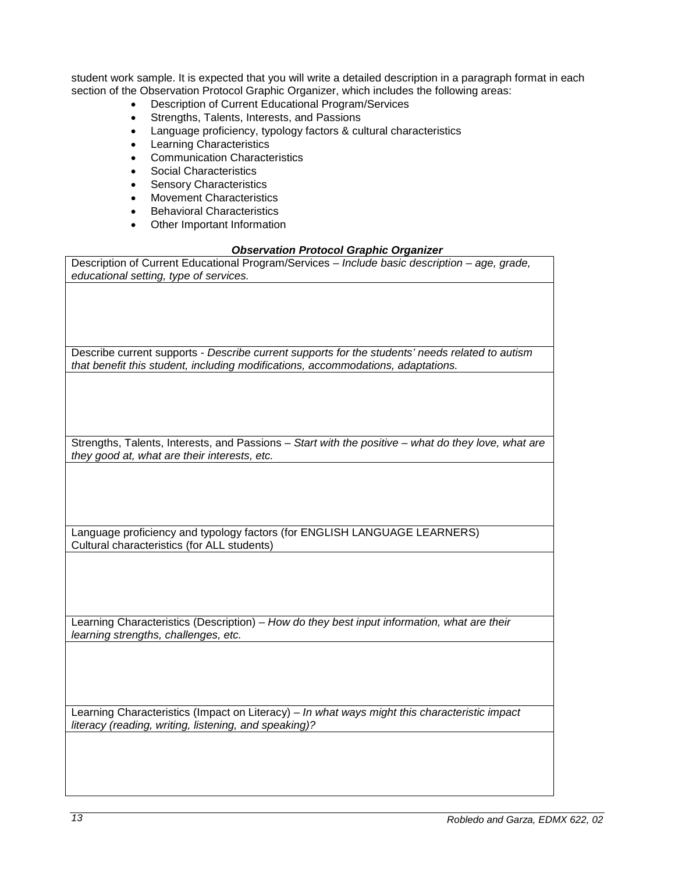student work sample. It is expected that you will write a detailed description in a paragraph format in each section of the Observation Protocol Graphic Organizer, which includes the following areas:

- Description of Current Educational Program/Services
- Strengths, Talents, Interests, and Passions
- Language proficiency, typology factors & cultural characteristics
- Learning Characteristics
- Communication Characteristics
- Social Characteristics
- Sensory Characteristics
- **Movement Characteristics**
- Behavioral Characteristics
- Other Important Information

# *Observation Protocol Graphic Organizer*

| <b>Cuservation Frotocor Graphic Organizer</b>                                                       |
|-----------------------------------------------------------------------------------------------------|
| Description of Current Educational Program/Services - Include basic description - age, grade,       |
| educational setting, type of services.                                                              |
|                                                                                                     |
|                                                                                                     |
|                                                                                                     |
|                                                                                                     |
|                                                                                                     |
|                                                                                                     |
| Describe current supports - Describe current supports for the students' needs related to autism     |
| that benefit this student, including modifications, accommodations, adaptations.                    |
|                                                                                                     |
|                                                                                                     |
|                                                                                                     |
|                                                                                                     |
|                                                                                                     |
|                                                                                                     |
| Strengths, Talents, Interests, and Passions - Start with the positive - what do they love, what are |
| they good at, what are their interests, etc.                                                        |
|                                                                                                     |
|                                                                                                     |
|                                                                                                     |
|                                                                                                     |
|                                                                                                     |
|                                                                                                     |
| Language proficiency and typology factors (for ENGLISH LANGUAGE LEARNERS)                           |
| Cultural characteristics (for ALL students)                                                         |
|                                                                                                     |
|                                                                                                     |
|                                                                                                     |
|                                                                                                     |
|                                                                                                     |
|                                                                                                     |
| Learning Characteristics (Description) - How do they best input information, what are their         |
| learning strengths, challenges, etc.                                                                |
|                                                                                                     |
|                                                                                                     |
|                                                                                                     |
|                                                                                                     |
|                                                                                                     |
|                                                                                                     |
| Learning Characteristics (Impact on Literacy) - In what ways might this characteristic impact       |
| literacy (reading, writing, listening, and speaking)?                                               |
|                                                                                                     |
|                                                                                                     |
|                                                                                                     |
|                                                                                                     |
|                                                                                                     |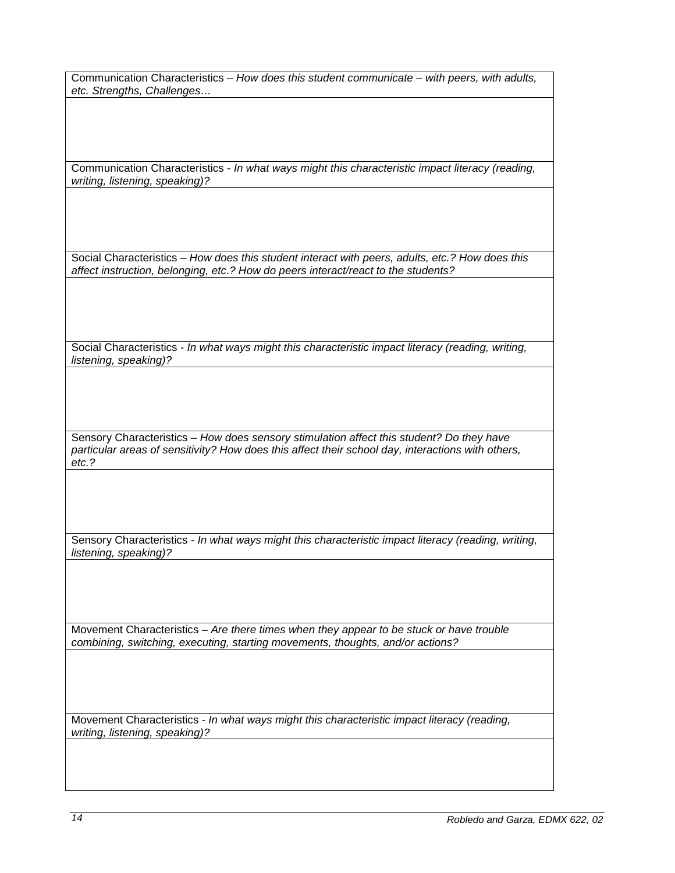Communication Characteristics – *How does this student communicate – with peers, with adults, etc. Strengths, Challenges…*

Communication Characteristics - *In what ways might this characteristic impact literacy (reading, writing, listening, speaking)?*

Social Characteristics – *How does this student interact with peers, adults, etc.? How does this affect instruction, belonging, etc.? How do peers interact/react to the students?*

Social Characteristics - *In what ways might this characteristic impact literacy (reading, writing, listening, speaking)?*

Sensory Characteristics – *How does sensory stimulation affect this student? Do they have particular areas of sensitivity? How does this affect their school day, interactions with others, etc.?*

Sensory Characteristics - *In what ways might this characteristic impact literacy (reading, writing, listening, speaking)?*

Movement Characteristics – *Are there times when they appear to be stuck or have trouble combining, switching, executing, starting movements, thoughts, and/or actions?* 

Movement Characteristics - *In what ways might this characteristic impact literacy (reading, writing, listening, speaking)?*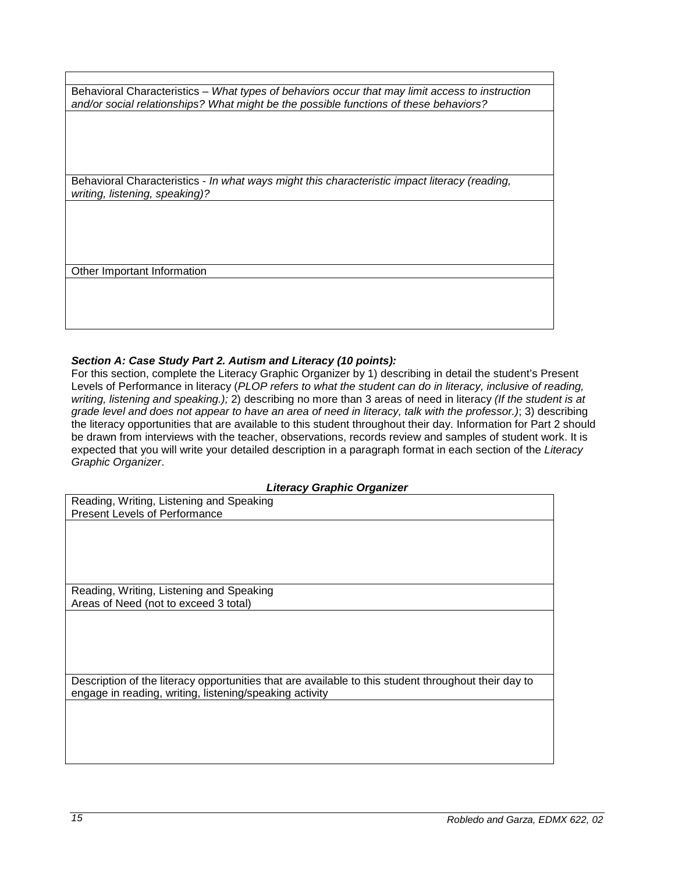Behavioral Characteristics – *What types of behaviors occur that may limit access to instruction and/or social relationships? What might be the possible functions of these behaviors?*

Behavioral Characteristics - *In what ways might this characteristic impact literacy (reading, writing, listening, speaking)?*

Other Important Information

# *Section A: Case Study Part 2. Autism and Literacy (10 points):*

For this section, complete the Literacy Graphic Organizer by 1) describing in detail the student's Present Levels of Performance in literacy (*PLOP refers to what the student can do in literacy, inclusive of reading, writing, listening and speaking.);* 2) describing no more than 3 areas of need in literacy *(If the student is at grade level and does not appear to have an area of need in literacy, talk with the professor.)*; 3) describing the literacy opportunities that are available to this student throughout their day. Information for Part 2 should be drawn from interviews with the teacher, observations, records review and samples of student work. It is expected that you will write your detailed description in a paragraph format in each section of the *Literacy Graphic Organizer*.

#### *Literacy Graphic Organizer*

| Reading, Writing, Listening and Speaking                                                             |
|------------------------------------------------------------------------------------------------------|
| <b>Present Levels of Performance</b>                                                                 |
|                                                                                                      |
|                                                                                                      |
|                                                                                                      |
|                                                                                                      |
|                                                                                                      |
| Reading, Writing, Listening and Speaking                                                             |
| Areas of Need (not to exceed 3 total)                                                                |
|                                                                                                      |
|                                                                                                      |
|                                                                                                      |
|                                                                                                      |
|                                                                                                      |
| Description of the literacy opportunities that are available to this student throughout their day to |
| engage in reading, writing, listening/speaking activity                                              |
|                                                                                                      |
|                                                                                                      |
|                                                                                                      |
|                                                                                                      |
|                                                                                                      |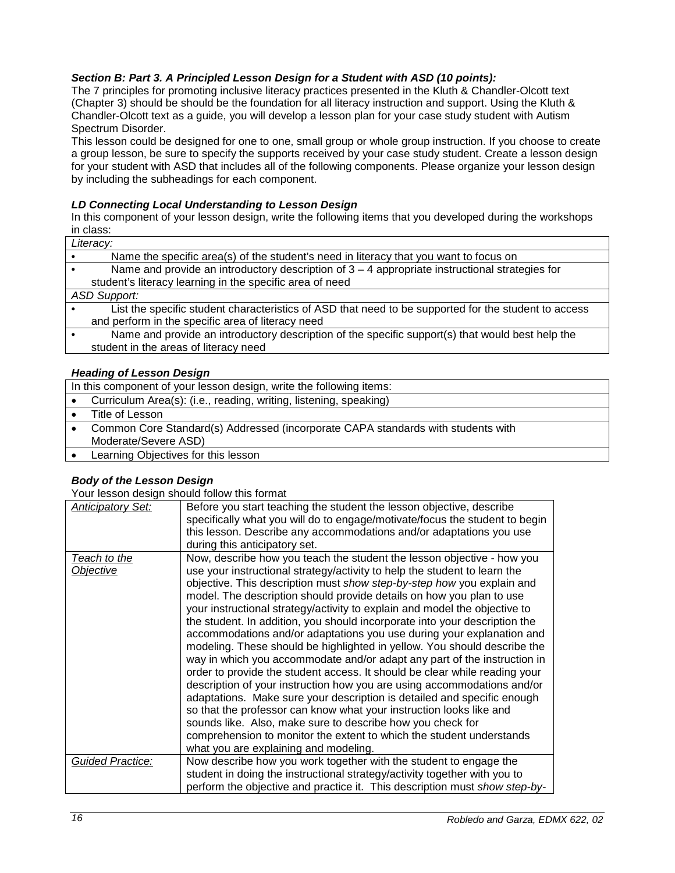# *Section B: Part 3. A Principled Lesson Design for a Student with ASD (10 points):*

The 7 principles for promoting inclusive literacy practices presented in the Kluth & Chandler-Olcott text (Chapter 3) should be should be the foundation for all literacy instruction and support. Using the Kluth & Chandler-Olcott text as a guide, you will develop a lesson plan for your case study student with Autism Spectrum Disorder.

This lesson could be designed for one to one, small group or whole group instruction. If you choose to create a group lesson, be sure to specify the supports received by your case study student. Create a lesson design for your student with ASD that includes all of the following components. Please organize your lesson design by including the subheadings for each component.

### *LD Connecting Local Understanding to Lesson Design*

In this component of your lesson design, write the following items that you developed during the workshops in class:

| Literacy:                                                                                            |
|------------------------------------------------------------------------------------------------------|
| Name the specific area(s) of the student's need in literacy that you want to focus on                |
| Name and provide an introductory description of $3 - 4$ appropriate instructional strategies for     |
| student's literacy learning in the specific area of need                                             |
| <b>ASD Support:</b>                                                                                  |
| List the specific student characteristics of ASD that need to be supported for the student to access |
| and perform in the specific area of literacy need                                                    |
| Name and provide an introductory description of the specific support(s) that would best help the     |
| student in the areas of literacy need                                                                |
|                                                                                                      |

### *Heading of Lesson Design*

| In this component of your lesson design, write the following items:              |  |  |  |
|----------------------------------------------------------------------------------|--|--|--|
| Curriculum Area(s): (i.e., reading, writing, listening, speaking)                |  |  |  |
| Title of Lesson                                                                  |  |  |  |
| Common Core Standard(s) Addressed (incorporate CAPA standards with students with |  |  |  |
| Moderate/Severe ASD)                                                             |  |  |  |
| Learning Objectives for this lesson                                              |  |  |  |

# *Body of the Lesson Design*

Your lesson design should follow this format

| <b>Anticipatory Set:</b>  | Before you start teaching the student the lesson objective, describe<br>specifically what you will do to engage/motivate/focus the student to begin<br>this lesson. Describe any accommodations and/or adaptations you use<br>during this anticipatory set.                                                                                                                                                                                                                                                                                                                                                                                                                                                                                                                                                                                                                                                                                                                                                                                                                                                                                                                                  |
|---------------------------|----------------------------------------------------------------------------------------------------------------------------------------------------------------------------------------------------------------------------------------------------------------------------------------------------------------------------------------------------------------------------------------------------------------------------------------------------------------------------------------------------------------------------------------------------------------------------------------------------------------------------------------------------------------------------------------------------------------------------------------------------------------------------------------------------------------------------------------------------------------------------------------------------------------------------------------------------------------------------------------------------------------------------------------------------------------------------------------------------------------------------------------------------------------------------------------------|
| Teach to the<br>Objective | Now, describe how you teach the student the lesson objective - how you<br>use your instructional strategy/activity to help the student to learn the<br>objective. This description must show step-by-step how you explain and<br>model. The description should provide details on how you plan to use<br>your instructional strategy/activity to explain and model the objective to<br>the student. In addition, you should incorporate into your description the<br>accommodations and/or adaptations you use during your explanation and<br>modeling. These should be highlighted in yellow. You should describe the<br>way in which you accommodate and/or adapt any part of the instruction in<br>order to provide the student access. It should be clear while reading your<br>description of your instruction how you are using accommodations and/or<br>adaptations. Make sure your description is detailed and specific enough<br>so that the professor can know what your instruction looks like and<br>sounds like. Also, make sure to describe how you check for<br>comprehension to monitor the extent to which the student understands<br>what you are explaining and modeling. |
| Guided Practice:          | Now describe how you work together with the student to engage the<br>student in doing the instructional strategy/activity together with you to<br>perform the objective and practice it. This description must show step-by-                                                                                                                                                                                                                                                                                                                                                                                                                                                                                                                                                                                                                                                                                                                                                                                                                                                                                                                                                                 |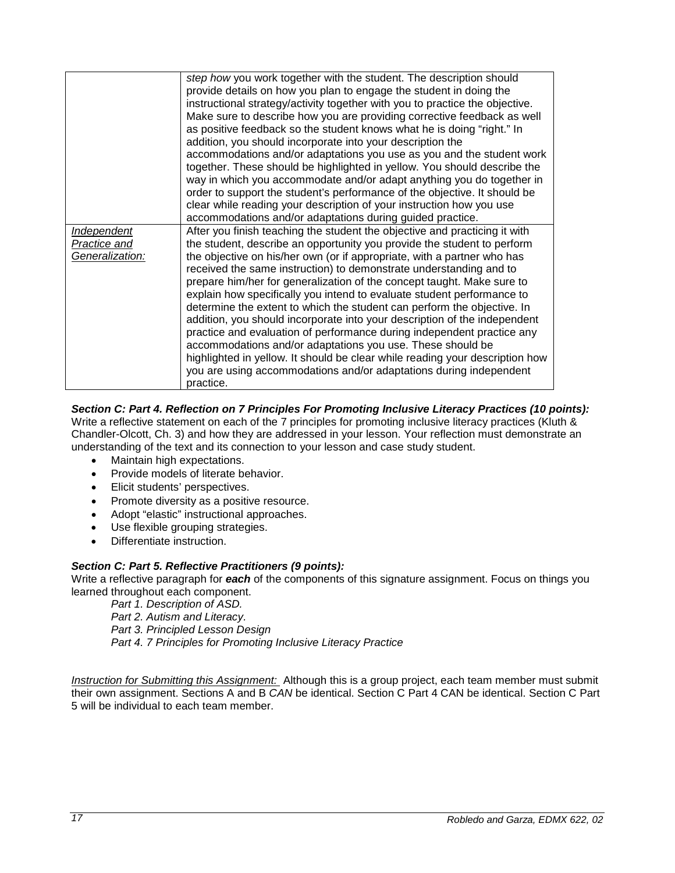|                                                       | step how you work together with the student. The description should<br>provide details on how you plan to engage the student in doing the<br>instructional strategy/activity together with you to practice the objective.<br>Make sure to describe how you are providing corrective feedback as well<br>as positive feedback so the student knows what he is doing "right." In                                                                                                                                                                                                                                                                                                                                                                                                                                                                                                                                                                                                             |
|-------------------------------------------------------|--------------------------------------------------------------------------------------------------------------------------------------------------------------------------------------------------------------------------------------------------------------------------------------------------------------------------------------------------------------------------------------------------------------------------------------------------------------------------------------------------------------------------------------------------------------------------------------------------------------------------------------------------------------------------------------------------------------------------------------------------------------------------------------------------------------------------------------------------------------------------------------------------------------------------------------------------------------------------------------------|
|                                                       | addition, you should incorporate into your description the<br>accommodations and/or adaptations you use as you and the student work<br>together. These should be highlighted in yellow. You should describe the<br>way in which you accommodate and/or adapt anything you do together in<br>order to support the student's performance of the objective. It should be<br>clear while reading your description of your instruction how you use                                                                                                                                                                                                                                                                                                                                                                                                                                                                                                                                              |
| <b>Independent</b><br>Practice and<br>Generalization: | accommodations and/or adaptations during guided practice.<br>After you finish teaching the student the objective and practicing it with<br>the student, describe an opportunity you provide the student to perform<br>the objective on his/her own (or if appropriate, with a partner who has<br>received the same instruction) to demonstrate understanding and to<br>prepare him/her for generalization of the concept taught. Make sure to<br>explain how specifically you intend to evaluate student performance to<br>determine the extent to which the student can perform the objective. In<br>addition, you should incorporate into your description of the independent<br>practice and evaluation of performance during independent practice any<br>accommodations and/or adaptations you use. These should be<br>highlighted in yellow. It should be clear while reading your description how<br>you are using accommodations and/or adaptations during independent<br>practice. |

# *Section C: Part 4. Reflection on 7 Principles For Promoting Inclusive Literacy Practices (10 points):*

Write a reflective statement on each of the 7 principles for promoting inclusive literacy practices (Kluth & Chandler-Olcott, Ch. 3) and how they are addressed in your lesson. Your reflection must demonstrate an understanding of the text and its connection to your lesson and case study student.

- Maintain high expectations.
- Provide models of literate behavior.
- Elicit students' perspectives.
- Promote diversity as a positive resource.
- Adopt "elastic" instructional approaches.
- Use flexible grouping strategies.
- Differentiate instruction.

# *Section C: Part 5. Reflective Practitioners (9 points):*

Write a reflective paragraph for *each* of the components of this signature assignment. Focus on things you learned throughout each component.

*Part 1. Description of ASD.*

*Part 2. Autism and Literacy.* 

*Part 3. Principled Lesson Design*

*Part 4. 7 Principles for Promoting Inclusive Literacy Practice*

*Instruction for Submitting this Assignment:* Although this is a group project, each team member must submit their own assignment. Sections A and B *CAN* be identical. Section C Part 4 CAN be identical. Section C Part 5 will be individual to each team member.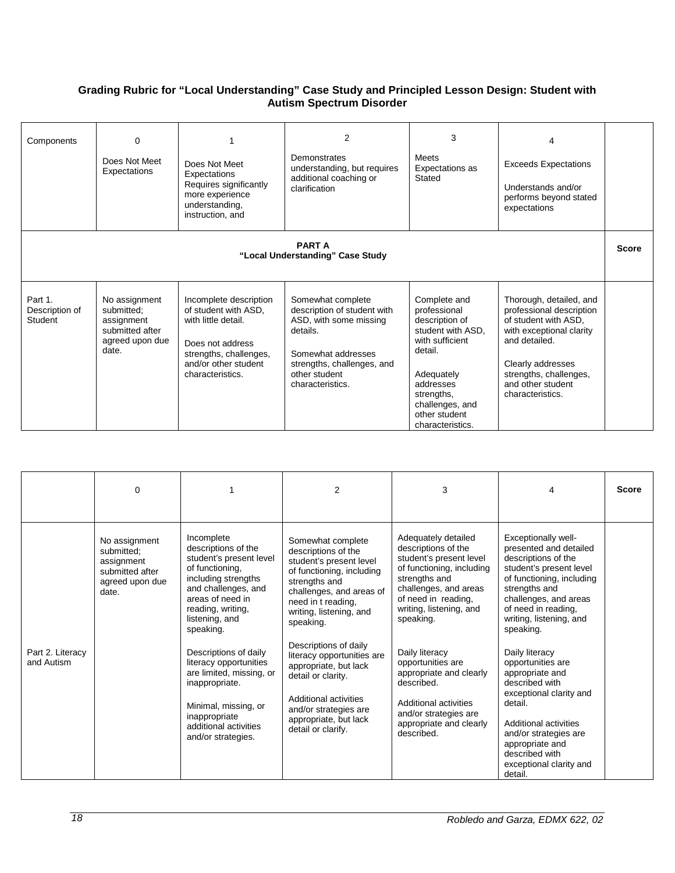# **Grading Rubric for "Local Understanding" Case Study and Principled Lesson Design: Student with Autism Spectrum Disorder**

| Components                                        | $\Omega$<br>Does Not Meet<br>Expectations                                                | Does Not Meet<br>Expectations<br>Requires significantly<br>more experience<br>understanding,<br>instruction, and                                                | $\overline{2}$<br>Demonstrates<br>understanding, but requires<br>additional coaching or<br>clarification                                                                        | 3<br><b>Meets</b><br>Expectations as<br>Stated                                                                                                                                                     | 4<br><b>Exceeds Expectations</b><br>Understands and/or<br>performs beyond stated<br>expectations                                                                                                                 |  |
|---------------------------------------------------|------------------------------------------------------------------------------------------|-----------------------------------------------------------------------------------------------------------------------------------------------------------------|---------------------------------------------------------------------------------------------------------------------------------------------------------------------------------|----------------------------------------------------------------------------------------------------------------------------------------------------------------------------------------------------|------------------------------------------------------------------------------------------------------------------------------------------------------------------------------------------------------------------|--|
| <b>PART A</b><br>"Local Understanding" Case Study |                                                                                          |                                                                                                                                                                 |                                                                                                                                                                                 |                                                                                                                                                                                                    | <b>Score</b>                                                                                                                                                                                                     |  |
| Part 1.<br>Description of<br>Student              | No assignment<br>submitted:<br>assignment<br>submitted after<br>agreed upon due<br>date. | Incomplete description<br>of student with ASD.<br>with little detail.<br>Does not address<br>strengths, challenges,<br>and/or other student<br>characteristics. | Somewhat complete<br>description of student with<br>ASD, with some missing<br>details.<br>Somewhat addresses<br>strengths, challenges, and<br>other student<br>characteristics. | Complete and<br>professional<br>description of<br>student with ASD.<br>with sufficient<br>detail.<br>Adequately<br>addresses<br>strengths,<br>challenges, and<br>other student<br>characteristics. | Thorough, detailed, and<br>professional description<br>of student with ASD,<br>with exceptional clarity<br>and detailed.<br>Clearly addresses<br>strengths, challenges,<br>and other student<br>characteristics. |  |

|                                | $\Omega$                                                                                 |                                                                                                                                                                                                                                                                                                                                                                                                | $\overline{2}$                                                                                                                                                                                                                                                                                                                                                                                                     | 3                                                                                                                                                                                                                                                                                                                                                                                      | 4                                                                                                                                                                                                                                                                                                                                                                                                                                                                                    | <b>Score</b> |
|--------------------------------|------------------------------------------------------------------------------------------|------------------------------------------------------------------------------------------------------------------------------------------------------------------------------------------------------------------------------------------------------------------------------------------------------------------------------------------------------------------------------------------------|--------------------------------------------------------------------------------------------------------------------------------------------------------------------------------------------------------------------------------------------------------------------------------------------------------------------------------------------------------------------------------------------------------------------|----------------------------------------------------------------------------------------------------------------------------------------------------------------------------------------------------------------------------------------------------------------------------------------------------------------------------------------------------------------------------------------|--------------------------------------------------------------------------------------------------------------------------------------------------------------------------------------------------------------------------------------------------------------------------------------------------------------------------------------------------------------------------------------------------------------------------------------------------------------------------------------|--------------|
| Part 2. Literacy<br>and Autism | No assignment<br>submitted:<br>assignment<br>submitted after<br>agreed upon due<br>date. | Incomplete<br>descriptions of the<br>student's present level<br>of functioning.<br>including strengths<br>and challenges, and<br>areas of need in<br>reading, writing,<br>listening, and<br>speaking.<br>Descriptions of daily<br>literacy opportunities<br>are limited, missing, or<br>inappropriate.<br>Minimal, missing, or<br>inappropriate<br>additional activities<br>and/or strategies. | Somewhat complete<br>descriptions of the<br>student's present level<br>of functioning, including<br>strengths and<br>challenges, and areas of<br>need in t reading,<br>writing, listening, and<br>speaking.<br>Descriptions of daily<br>literacy opportunities are<br>appropriate, but lack<br>detail or clarity.<br>Additional activities<br>and/or strategies are<br>appropriate, but lack<br>detail or clarify. | Adequately detailed<br>descriptions of the<br>student's present level<br>of functioning, including<br>strengths and<br>challenges, and areas<br>of need in reading,<br>writing, listening, and<br>speaking.<br>Daily literacy<br>opportunities are<br>appropriate and clearly<br>described.<br>Additional activities<br>and/or strategies are<br>appropriate and clearly<br>described. | Exceptionally well-<br>presented and detailed<br>descriptions of the<br>student's present level<br>of functioning, including<br>strengths and<br>challenges, and areas<br>of need in reading.<br>writing, listening, and<br>speaking.<br>Daily literacy<br>opportunities are<br>appropriate and<br>described with<br>exceptional clarity and<br>detail.<br>Additional activities<br>and/or strategies are<br>appropriate and<br>described with<br>exceptional clarity and<br>detail. |              |